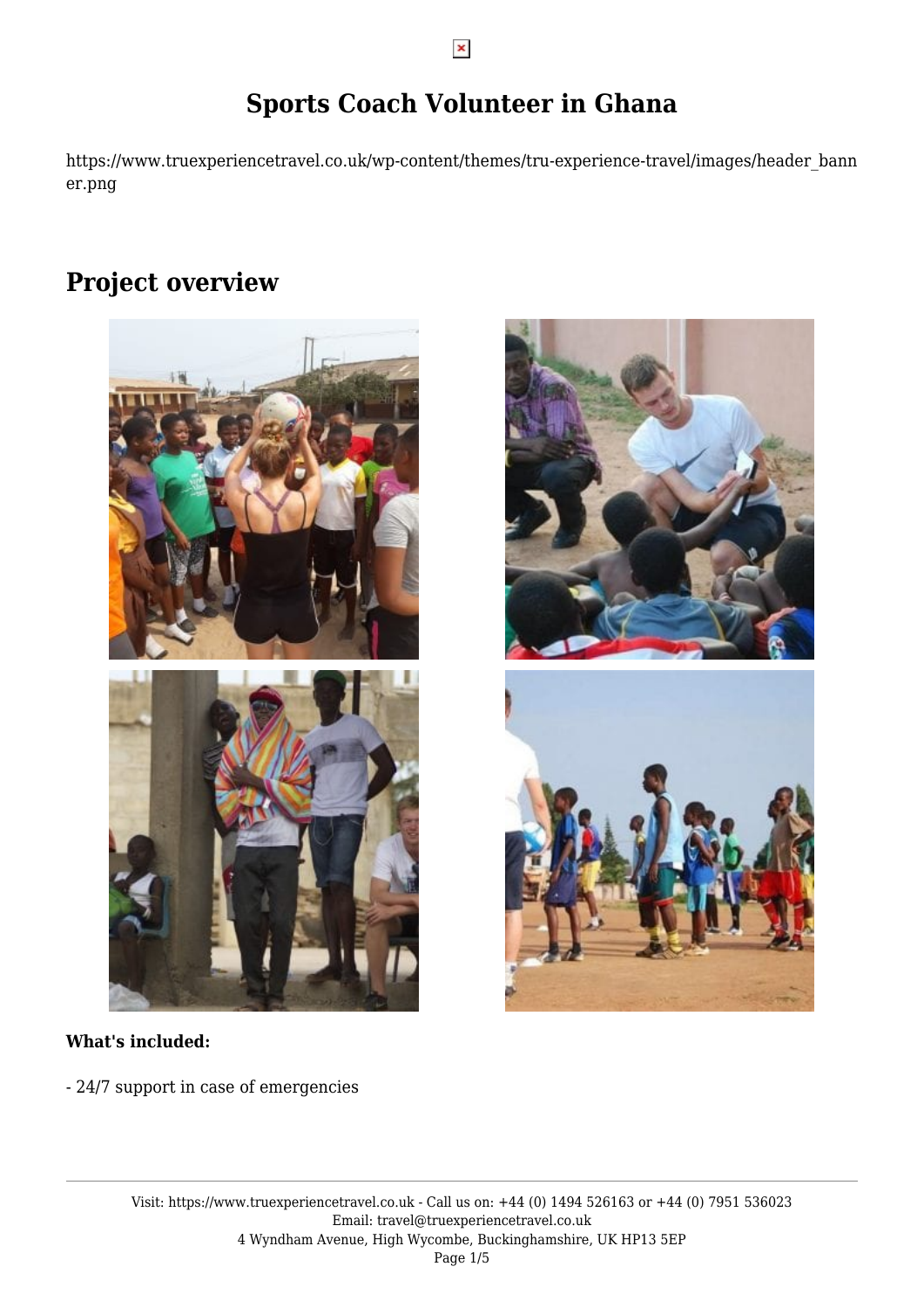## **Sports Coach Volunteer in Ghana**

https://www.truexperiencetravel.co.uk/wp-content/themes/tru-experience-travel/images/header\_bann er.png

### **Project overview**





- 24/7 support in case of emergencies



Visit: https://www.truexperiencetravel.co.uk - Call us on: +44 (0) 1494 526163 or +44 (0) 7951 536023 Email: travel@truexperiencetravel.co.uk 4 Wyndham Avenue, High Wycombe, Buckinghamshire, UK HP13 5EP Page 1/5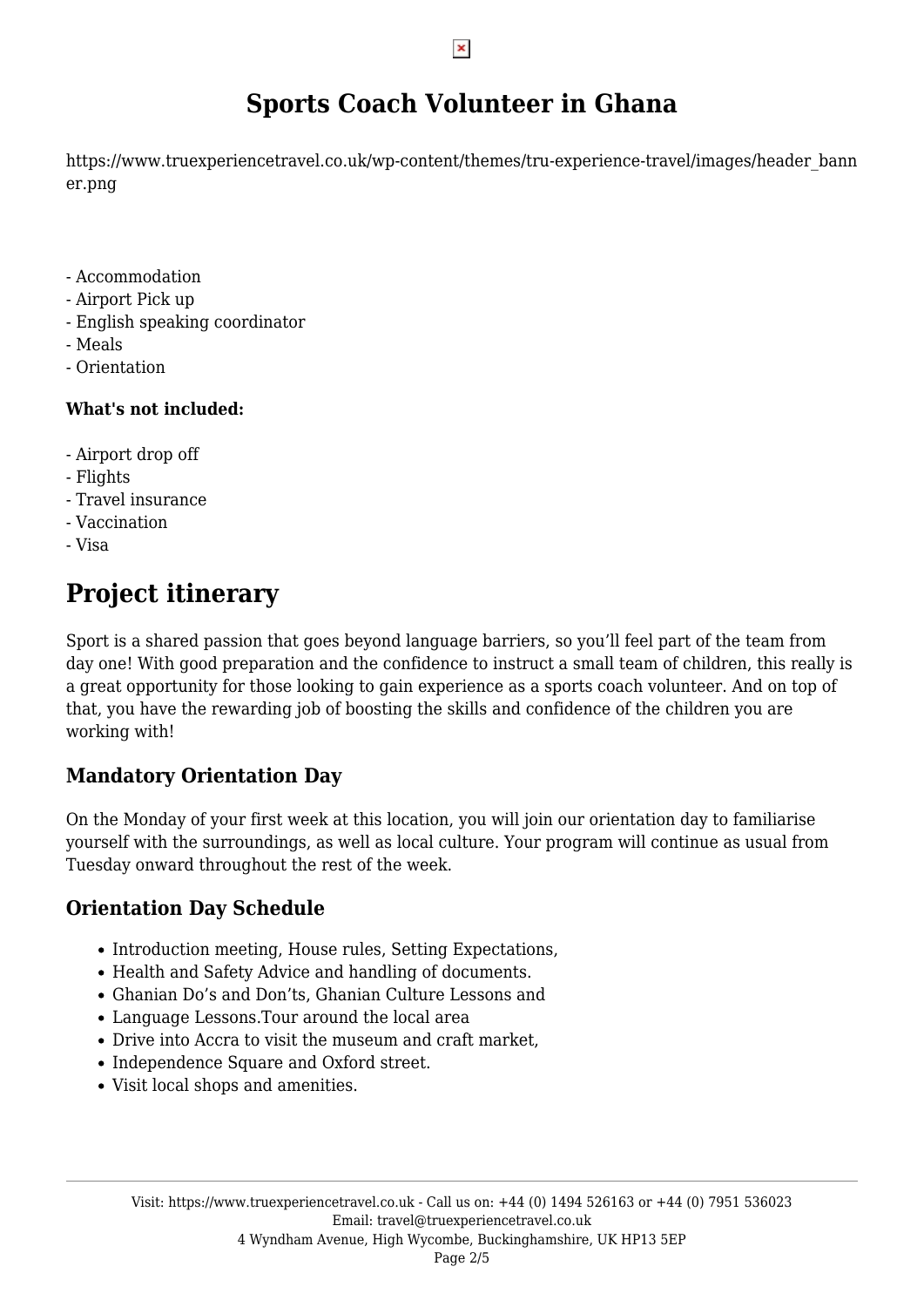## **Sports Coach Volunteer in Ghana**

https://www.truexperiencetravel.co.uk/wp-content/themes/tru-experience-travel/images/header\_bann er.png

- Accommodation
- Airport Pick up
- English speaking coordinator
- Meals
- Orientation

#### **What's not included:**

- Airport drop off
- Flights
- Travel insurance
- Vaccination
- Visa

# **Project itinerary**

Sport is a shared passion that goes beyond language barriers, so you'll feel part of the team from day one! With good preparation and the confidence to instruct a small team of children, this really is a great opportunity for those looking to gain experience as a sports coach volunteer. And on top of that, you have the rewarding job of boosting the skills and confidence of the children you are working with!

### **Mandatory Orientation Day**

On the Monday of your first week at this location, you will join our orientation day to familiarise yourself with the surroundings, as well as local culture. Your program will continue as usual from Tuesday onward throughout the rest of the week.

### **Orientation Day Schedule**

- Introduction meeting, House rules, Setting Expectations,
- Health and Safety Advice and handling of documents.
- Ghanian Do's and Don'ts, Ghanian Culture Lessons and
- Language Lessons.Tour around the local area
- Drive into Accra to visit the museum and craft market,
- Independence Square and Oxford street.
- Visit local shops and amenities.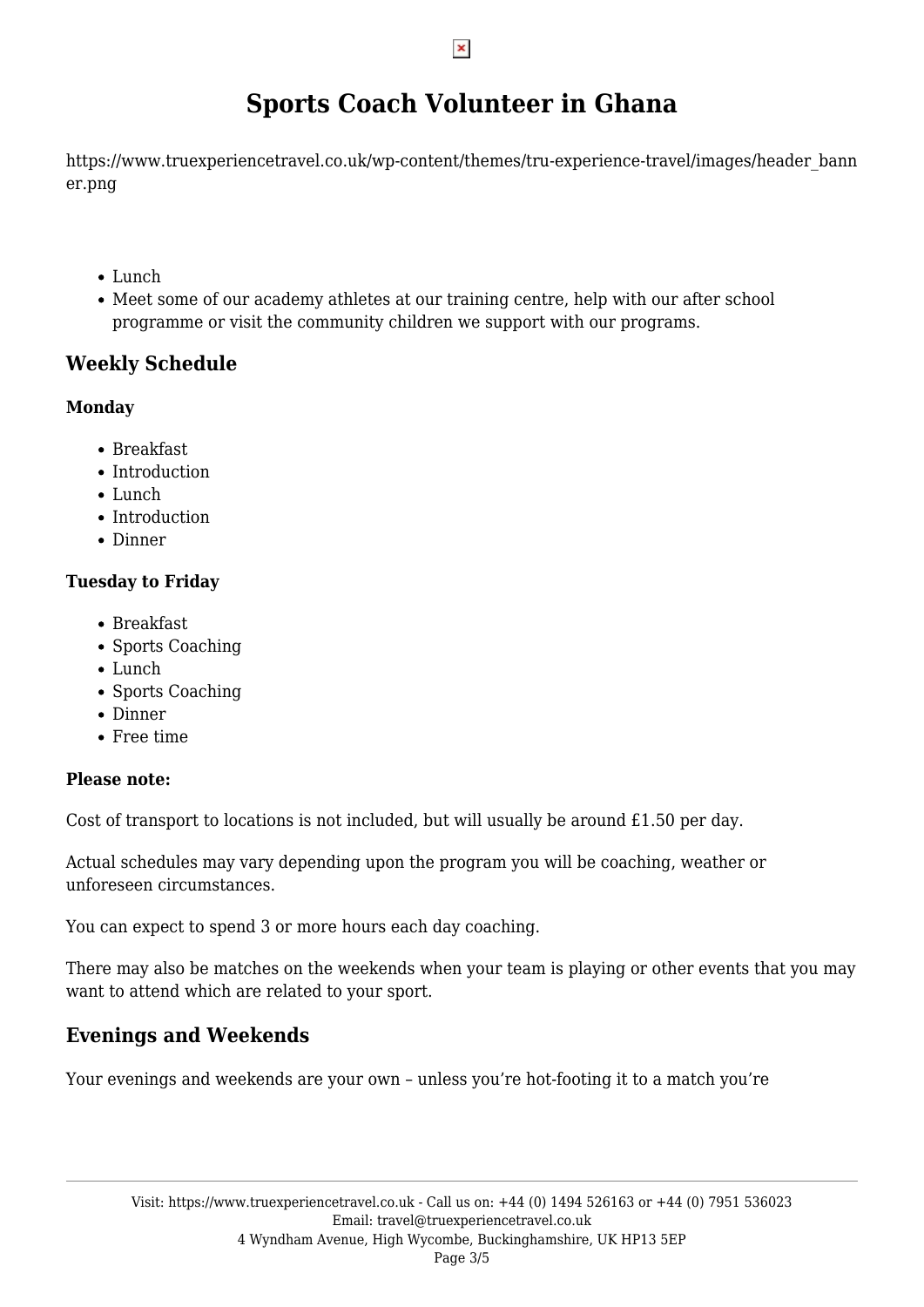# **Sports Coach Volunteer in Ghana**

https://www.truexperiencetravel.co.uk/wp-content/themes/tru-experience-travel/images/header\_bann er.png

- Lunch
- Meet some of our academy athletes at our training centre, help with our after school programme or visit the community children we support with our programs.

### **Weekly Schedule**

#### **Monday**

- Breakfast
- Introduction
- Lunch
- Introduction
- Dinner

#### **Tuesday to Friday**

- Breakfast
- Sports Coaching
- Lunch
- Sports Coaching
- Dinner
- Free time

#### **Please note:**

Cost of transport to locations is not included, but will usually be around £1.50 per day.

Actual schedules may vary depending upon the program you will be coaching, weather or unforeseen circumstances.

You can expect to spend 3 or more hours each day coaching.

There may also be matches on the weekends when your team is playing or other events that you may want to attend which are related to your sport.

### **Evenings and Weekends**

Your evenings and weekends are your own – unless you're hot-footing it to a match you're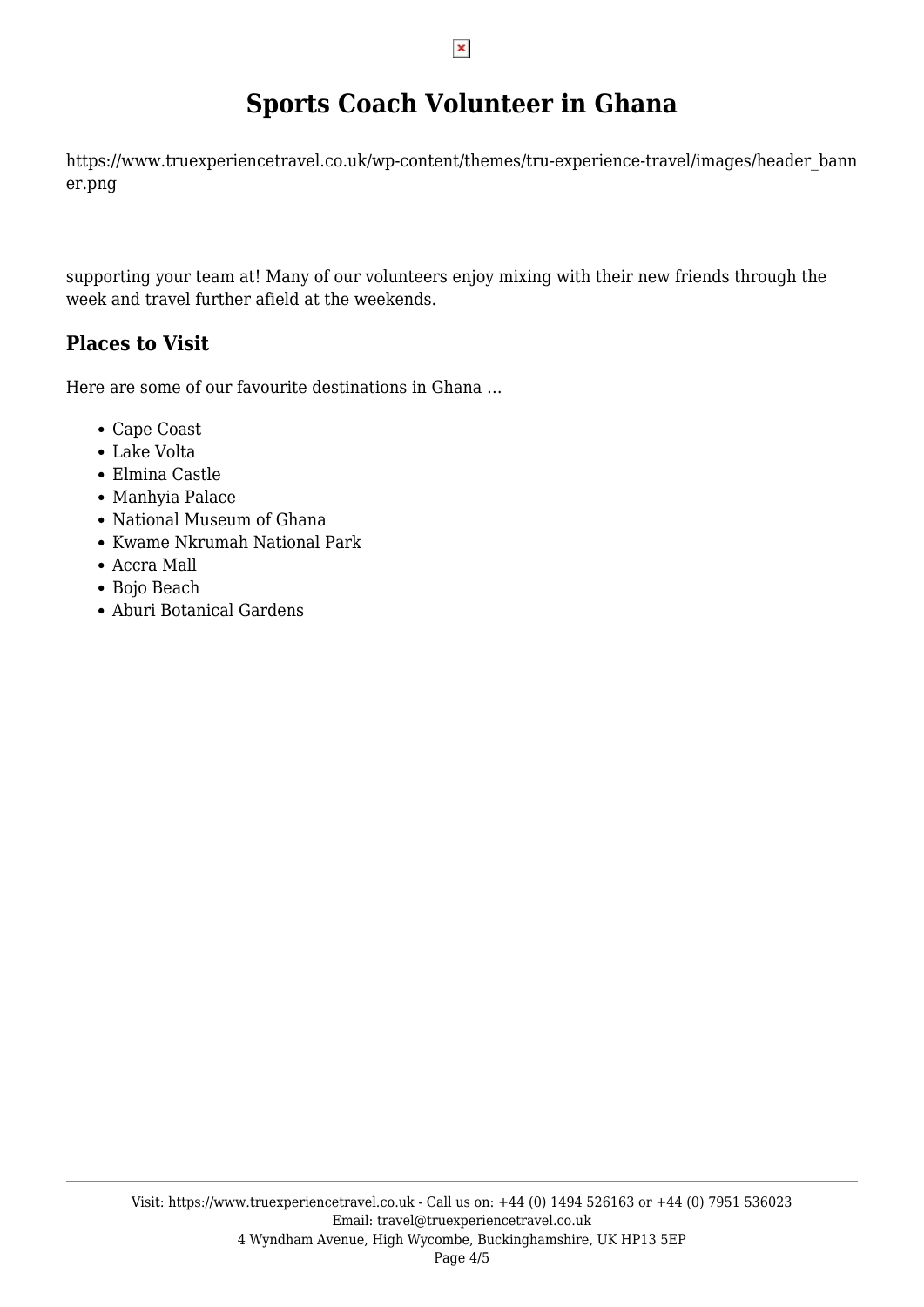## **Sports Coach Volunteer in Ghana**

https://www.truexperiencetravel.co.uk/wp-content/themes/tru-experience-travel/images/header\_bann er.png

supporting your team at! Many of our volunteers enjoy mixing with their new friends through the week and travel further afield at the weekends.

### **Places to Visit**

Here are some of our favourite destinations in Ghana …

- Cape Coast
- Lake Volta
- Elmina Castle
- Manhyia Palace
- National Museum of Ghana
- Kwame Nkrumah National Park
- Accra Mall
- Bojo Beach
- Aburi Botanical Gardens